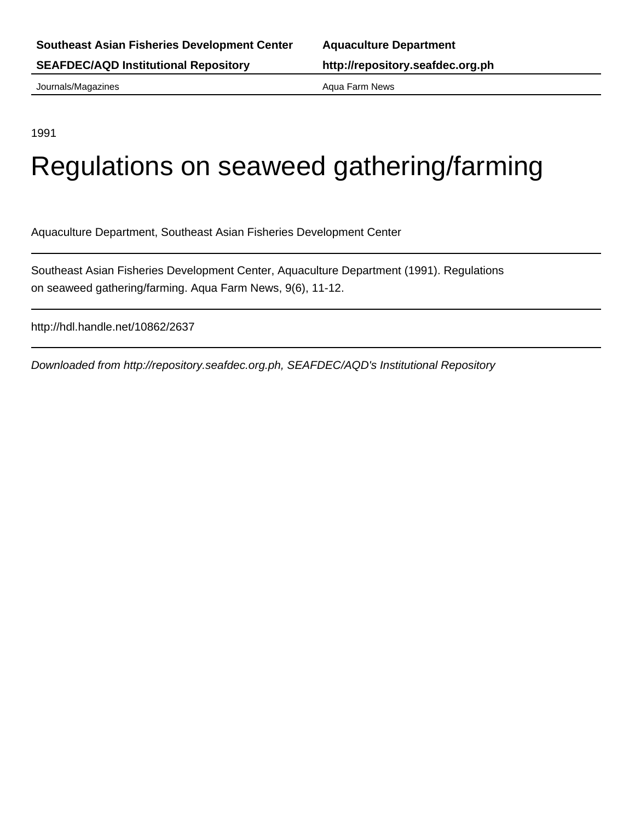Journals/Magazines **Aqua Farm News** Aqua Farm News

1991

# Regulations on seaweed gathering/farming

Aquaculture Department, Southeast Asian Fisheries Development Center

Southeast Asian Fisheries Development Center, Aquaculture Department (1991). Regulations on seaweed gathering/farming. Aqua Farm News, 9(6), 11-12.

http://hdl.handle.net/10862/2637

Downloaded from http://repository.seafdec.org.ph, SEAFDEC/AQD's Institutional Repository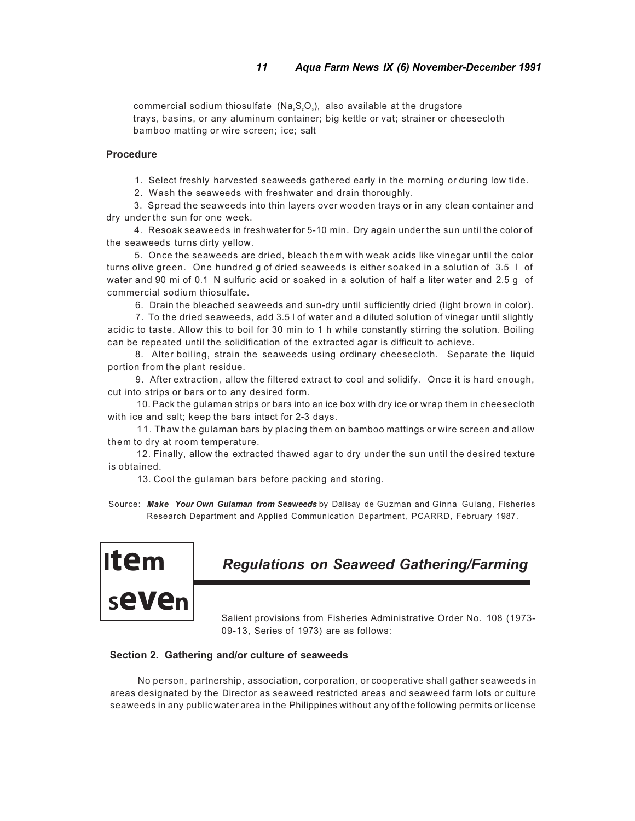commercial sodium thiosulfate  $(Na, S, O<sub>s</sub>)$ , also available at the drugstore trays, basins, or any aluminum container; big kettle or vat; strainer or cheesecloth bamboo matting or wire screen; ice; salt

#### **Procedure**

1. Select freshly harvested seaweeds gathered early in the morning or during low tide.

2. Wash the seaweeds with freshwater and drain thoroughly.

3. Spread the seaweeds into thin layers over wooden trays or in any clean container and dry under the sun for one week.

4. Resoak seaweeds in freshwater for 5-10 min. Dry again under the sun until the color of the seaweeds turns dirty yellow.

5. Once the seaweeds are dried, bleach them with weak acids like vinegar until the color turns olive green. One hundred g of dried seaweeds is either soaked in a solution of 3.5 I of water and 90 mi of 0.1 N sulfuric acid or soaked in a solution of half a liter water and 2.5 g of commercial sodium thiosulfate.

6. Drain the bleached seaweeds and sun-dry until sufficiently dried (light brown in color).

7. To the dried seaweeds, add 3.5 l of water and a diluted solution of vinegar until slightly acidic to taste. Allow this to boil for 30 min to 1 h while constantly stirring the solution. Boiling can be repeated until the solidification of the extracted agar is difficult to achieve.

8. Alter boiling, strain the seaweeds using ordinary cheesecloth. Separate the liquid portion from the plant residue.

9. After extraction, allow the filtered extract to cool and solidify. Once it is hard enough, cut into strips or bars or to any desired form.

10. Pack the gulaman strips or bars into an ice box with dry ice or wrap them in cheesecloth with ice and salt; keep the bars intact for 2-3 days.

11. Thaw the gulaman bars by placing them on bamboo mattings or wire screen and allow them to dry at room temperature.

12. Finally, allow the extracted thawed agar to dry under the sun until the desired texture is obtained.

13. Cool the gulaman bars before packing and storing.

Source: *Make Your Own Gulaman from Seaweeds* by Dalisay de Guzman and Ginna Guiang, Fisheries Research Department and Applied Communication Department, PCARRD, February 1987.



# *Regulations on Seaweed Gathering/Farming*

Salient provisions from Fisheries Administrative Order No. 108 (1973- 09-13, Series of 1973) are as follows:

#### **Section 2. Gathering and/or culture of seaweeds**

No person, partnership, association, corporation, or cooperative shall gather seaweeds in areas designated by the Director as seaweed restricted areas and seaweed farm lots or culture seaweeds in any public water area in the Philippines without any of the following permits or license